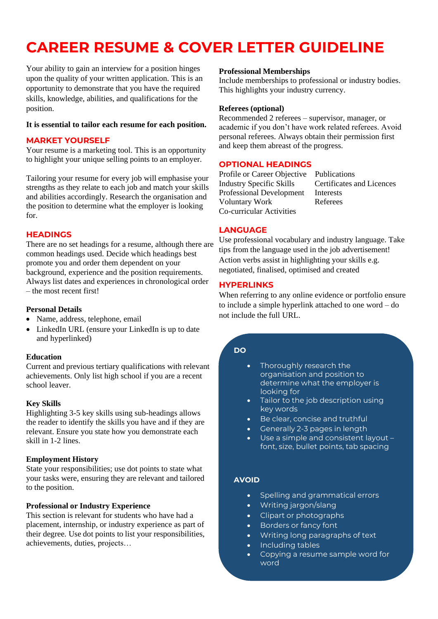# **CAREER RESUME & COVER LETTER GUIDELINE**

Your ability to gain an interview for a position hinges upon the quality of your written application. This is an opportunity to demonstrate that you have the required skills, knowledge, abilities, and qualifications for the position.

#### **It is essential to tailor each resume for each position.**

## **MARKET YOURSELF**

Your resume is a marketing tool. This is an opportunity to highlight your unique selling points to an employer.

Tailoring your resume for every job will emphasise your strengths as they relate to each job and match your skills and abilities accordingly. Research the organisation and the position to determine what the employer is looking for.

## **HEADINGS**

There are no set headings for a resume, although there are common headings used. Decide which headings best promote you and order them dependent on your background, experience and the position requirements. Always list dates and experiences in chronological order – the most recent first!

#### **Personal Details**

- Name, address, telephone, email
- LinkedIn URL (ensure your LinkedIn is up to date and hyperlinked)

#### **Education**

Current and previous tertiary qualifications with relevant achievements. Only list high school if you are a recent school leaver.

#### **Key Skills**

Highlighting 3-5 key skills using sub-headings allows the reader to identify the skills you have and if they are relevant. Ensure you state how you demonstrate each skill in 1-2 lines.

#### **Employment History**

State your responsibilities; use dot points to state what your tasks were, ensuring they are relevant and tailored to the position.

#### **Professional or Industry Experience**

This section is relevant for students who have had a placement, internship, or industry experience as part of their degree. Use dot points to list your responsibilities, achievements, duties, projects…

#### **Professional Memberships**

Include memberships to professional or industry bodies. This highlights your industry currency.

#### **Referees (optional)**

Recommended 2 referees – supervisor, manager, or academic if you don't have work related referees. Avoid personal referees. Always obtain their permission first and keep them abreast of the progress.

#### **OPTIONAL HEADINGS**

Profile or Career Objective Publications Industry Specific Skills Certificates and Licences Professional Development Interests Voluntary Work Referees Co-curricular Activities

## **LANGUAGE**

Use professional vocabulary and industry language. Take tips from the language used in the job advertisement! Action verbs assist in highlighting your skills e.g. negotiated, finalised, optimised and created

## **HYPERLINKS**

When referring to any online evidence or portfolio ensure to include a simple hyperlink attached to one word – do not include the full URL.

## **DO**

- Thoroughly research the organisation and position to determine what the employer is looking for
- Tailor to the job description using key words
- Be clear, concise and truthful
- Generally 2-3 pages in length
- Use a simple and consistent layout font, size, bullet points, tab spacing

## **AVOID**

- Spelling and grammatical errors
- Writing jargon/slang
- Clipart or photographs
- Borders or fancy font
- Writing long paragraphs of text
- Including tables
- Copying a resume sample word for word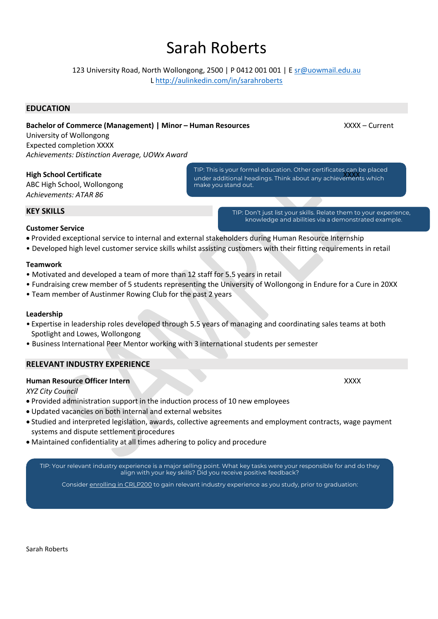## Sarah Roberts

123 University Road, North Wollongong, 2500 | P 0412 001 001 | E [sr@uowmail.edu.au](mailto:sr@uowmail.edu.au)

L <http://aulinkedin.com/in/sarahroberts>

## **EDUCATION**

**Bachelor of Commerce (Management) | Minor – Human Resources** XXXX – Current

University of Wollongong Expected completion XXXX *Achievements: Distinction Average, UOWx Award*

## **High School Certificate**

ABC High School, Wollongong *Achievements: ATAR 86*

TIP: This is your formal education. Other certificates can be placed ander additional headings. Think about any achievements which make you stand out.

> TIP: Don't just list your skills. Relate them to your experience, knowledge and abilities via a demonstrated example.

## **Customer Service**

**KEY SKILLS**

- Provided exceptional service to internal and external stakeholders during Human Resource Internship
- Developed high level customer service skills whilst assisting customers with their fitting requirements in retail

#### **Teamwork**

- Motivated and developed a team of more than 12 staff for 5.5 years in retail
- Fundraising crew member of 5 students representing the University of Wollongong in Endure for a Cure in 20XX
- Team member of Austinmer Rowing Club for the past 2 years

#### **Leadership**

- Expertise in leadership roles developed through 5.5 years of managing and coordinating sales teams at both Spotlight and Lowes, Wollongong
- Business International Peer Mentor working with 3 international students per semester

## **RELEVANT INDUSTRY EXPERIENCE**

#### **Human Resource Officer Intern** XXXX

#### *XYZ City Council*

- Provided administration support in the induction process of 10 new employees
- Updated vacancies on both internal and external websites
- Studied and interpreted legislation, awards, collective agreements and employment contracts, wage payment systems and dispute settlement procedures
- Maintained confidentiality at all times adhering to policy and procedure

TIP: Your relevant industry experience is a major selling point. What key tasks were your responsible for and do they align with your key skills? Did you receive positive feedback?

Consider [enrolling in CRLP200](https://www.uow.edu.au/student/careers/work-integrated-learning/crlp200/) to gain relevant industry experience as you study, prior to graduation: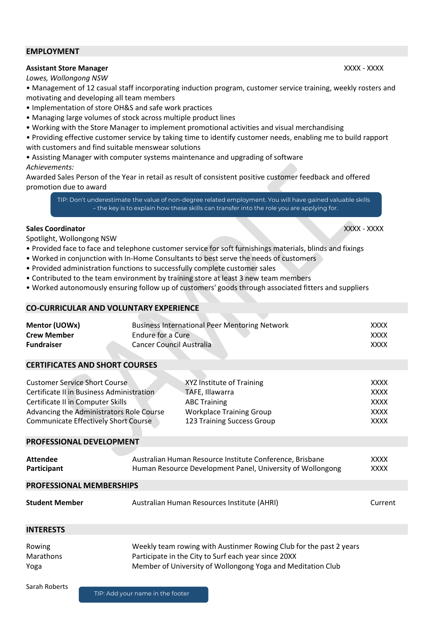#### **EMPLOYMENT**

## **Assistant Store Manager** XXXX - XXXX - XXXX - XXXX - XXXX - XXXX - XXXX - XXXX - XXXX - XXXX - XXXX - XXXX - XXXX

*Lowes, Wollongong NSW*

- Management of 12 casual staff incorporating induction program, customer service training, weekly rosters and motivating and developing all team members
- Implementation of store OH&S and safe work practices
- Managing large volumes of stock across multiple product lines
- Working with the Store Manager to implement promotional activities and visual merchandising
- Providing effective customer service by taking time to identify customer needs, enabling me to build rapport with customers and find suitable menswear solutions
- Assisting Manager with computer systems maintenance and upgrading of software *Achievements:*

Awarded Sales Person of the Year in retail as result of consistent positive customer feedback and offered promotion due to award

TIP: Don't underestimate the value of non-degree related employment. You will have gained valuable skills – the key is to explain how these skills can transfer into the role you are applying for.

#### **Sales Coordinator** XXXX - XXXX

Spotlight, Wollongong NSW

- Provided face to face and telephone customer service for soft furnishings materials, blinds and fixings
- Worked in conjunction with In-Home Consultants to best serve the needs of customers
- Provided administration functions to successfully complete customer sales
- Contributed to the team environment by training store at least 3 new team members
- Worked autonomously ensuring follow up of customers' goods through associated fitters and suppliers

#### **CO-CURRICULAR AND VOLUNTARY EXPERIENCE**

| Mentor (UOWx)<br><b>Crew Member</b><br><b>Fundraiser</b>                                                                                                                                                          | Endure for a Cure<br>Cancer Council Australia | <b>Business International Peer Mentoring Network</b>                                                                                 | <b>XXXX</b><br><b>XXXX</b><br><b>XXXX</b>                               |
|-------------------------------------------------------------------------------------------------------------------------------------------------------------------------------------------------------------------|-----------------------------------------------|--------------------------------------------------------------------------------------------------------------------------------------|-------------------------------------------------------------------------|
| <b>CERTIFICATES AND SHORT COURSES</b>                                                                                                                                                                             |                                               |                                                                                                                                      |                                                                         |
| <b>Customer Service Short Course</b><br>Certificate II in Business Administration<br>Certificate II in Computer Skills<br>Advancing the Administrators Role Course<br><b>Communicate Effectively Short Course</b> |                                               | XYZ Institute of Training<br>TAFE, Illawarra<br><b>ABC Training</b><br><b>Workplace Training Group</b><br>123 Training Success Group | <b>XXXX</b><br><b>XXXX</b><br><b>XXXX</b><br><b>XXXX</b><br><b>XXXX</b> |
| PROFESSIONAL DEVELOPMENT                                                                                                                                                                                          |                                               |                                                                                                                                      |                                                                         |
| <b>Attendee</b><br>Participant                                                                                                                                                                                    |                                               | Australian Human Resource Institute Conference, Brisbane<br>Human Resource Development Panel, University of Wollongong               |                                                                         |
| <b>PROFESSIONAL MEMBERSHIPS</b>                                                                                                                                                                                   |                                               |                                                                                                                                      |                                                                         |
| <b>Student Member</b>                                                                                                                                                                                             | Australian Human Resources Institute (AHRI)   |                                                                                                                                      | Current                                                                 |
| <b>INTERESTS</b>                                                                                                                                                                                                  |                                               |                                                                                                                                      |                                                                         |

| Rowing           | Weekly team rowing with Austinmer Rowing Club for the past 2 years |
|------------------|--------------------------------------------------------------------|
| <b>Marathons</b> | Participate in the City to Surf each year since 20XX               |
| Yoga             | Member of University of Wollongong Yoga and Meditation Club        |

Sarah Roberts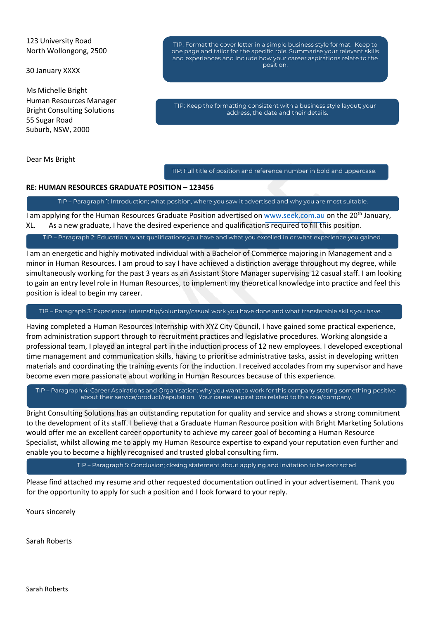#### 123 University Road North Wollongong, 2500

30 January XXXX

Ms Michelle Bright Human Resources Manager Bright Consulting Solutions 55 Sugar Road Suburb, NSW, 2000

Dear Ms Bright

TIP: Format the cover letter in a simple business style format. Keep to one page and tailor for the specific role. Summarise your relevant skills and experiences and include how your career aspirations relate to the position.

TIP: Keep the formatting consistent with a business style layout; your address, the date and their details.

TIP: Full title of position and reference number in bold and uppercase.

#### **RE: HUMAN RESOURCES GRADUATE POSITION – 123456**

TIP – Paragraph 1: Introduction; what position, where you saw it advertised and why you are most suitable.

I am applying for the Human Resources Graduate Position advertised on [www.seek.com.au](http://www.seek.com.au/) on the 20<sup>th</sup> January, XL. As a new graduate, I have the desired experience and qualifications required to fill this position.

TIP – Paragraph 2: Education; what qualifications you have and what you excelled in or what experience you gained.

I am an energetic and highly motivated individual with a Bachelor of Commerce majoring in Management and a minor in Human Resources. I am proud to say I have achieved a distinction average throughout my degree, while simultaneously working for the past 3 years as an Assistant Store Manager supervising 12 casual staff. I am looking to gain an entry level role in Human Resources, to implement my theoretical knowledge into practice and feel this position is ideal to begin my career.

TIP – Paragraph 3: Experience; internship/voluntary/casual work you have done and what transferable skills you have.

Having completed a Human Resources Internship with XYZ City Council, I have gained some practical experience, from administration support through to recruitment practices and legislative procedures. Working alongside a professional team, I played an integral part in the induction process of 12 new employees. I developed exceptional time management and communication skills, having to prioritise administrative tasks, assist in developing written materials and coordinating the training events for the induction. I received accolades from my supervisor and have become even more passionate about working in Human Resources because of this experience.

TIP – Paragraph 4: Career Aspirations and Organisation; why you want to work for this company stating something positive about their service/product/reputation. Your career aspirations related to this role/company.

Bright Consulting Solutions has an outstanding reputation for quality and service and shows a strong commitment to the development of its staff. I believe that a Graduate Human Resource position with Bright Marketing Solutions would offer me an excellent career opportunity to achieve my career goal of becoming a Human Resource Specialist, whilst allowing me to apply my Human Resource expertise to expand your reputation even further and enable you to become a highly recognised and trusted global consulting firm.

TIP – Paragraph 5: Conclusion; closing statement about applying and invitation to be contacted

Please find attached my resume and other requested documentation outlined in your advertisement. Thank you for the opportunity to apply for such a position and I look forward to your reply.

Yours sincerely

Sarah Roberts